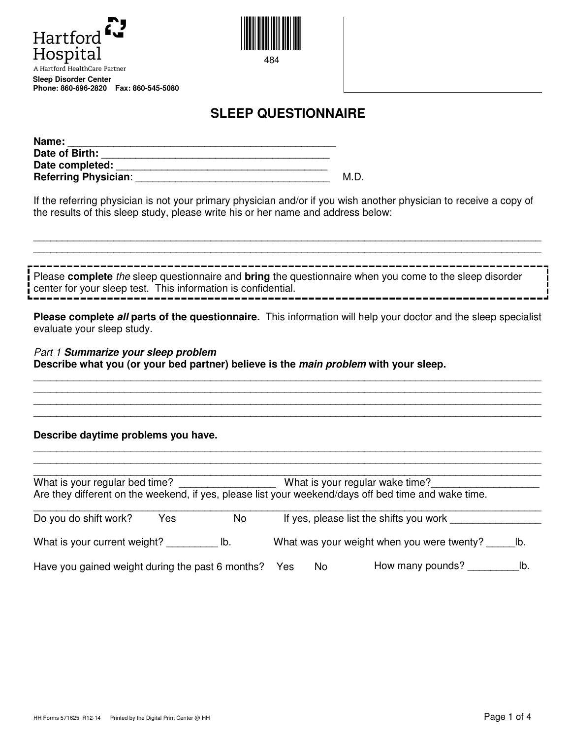



**SLEEP QUESTIONNAIRE** 

| Name:                |   |
|----------------------|---|
| Date of Birth:       |   |
| Date completed:      |   |
| Referring Physician: | M |

If the referring physician is not your primary physician and/or if you wish another physician to receive a copy of the results of this sleep study, please write his or her name and address below:

Please **complete** the sleep questionnaire and **bring** the questionnaire when you come to the sleep disorder center for your sleep test. This information is confidential.

\_\_\_\_\_\_\_\_\_\_\_\_\_\_\_\_\_\_\_\_\_\_\_\_\_\_\_\_\_\_\_\_\_\_\_\_\_\_\_\_\_\_\_\_\_\_\_\_\_\_\_\_\_\_\_\_\_\_\_\_\_\_\_\_\_\_\_\_\_\_\_\_\_\_\_\_\_\_\_\_\_\_\_\_\_\_\_\_\_ \_\_\_\_\_\_\_\_\_\_\_\_\_\_\_\_\_\_\_\_\_\_\_\_\_\_\_\_\_\_\_\_\_\_\_\_\_\_\_\_\_\_\_\_\_\_\_\_\_\_\_\_\_\_\_\_\_\_\_\_\_\_\_\_\_\_\_\_\_\_\_\_\_\_\_\_\_\_\_\_\_\_\_\_\_\_\_\_\_

**Please complete all parts of the questionnaire.** This information will help your doctor and the sleep specialist evaluate your sleep study.

\_\_\_\_\_\_\_\_\_\_\_\_\_\_\_\_\_\_\_\_\_\_\_\_\_\_\_\_\_\_\_\_\_\_\_\_\_\_\_\_\_\_\_\_\_\_\_\_\_\_\_\_\_\_\_\_\_\_\_\_\_\_\_\_\_\_\_\_\_\_\_\_\_\_\_\_\_\_\_\_\_\_\_\_\_\_\_\_\_ \_\_\_\_\_\_\_\_\_\_\_\_\_\_\_\_\_\_\_\_\_\_\_\_\_\_\_\_\_\_\_\_\_\_\_\_\_\_\_\_\_\_\_\_\_\_\_\_\_\_\_\_\_\_\_\_\_\_\_\_\_\_\_\_\_\_\_\_\_\_\_\_\_\_\_\_\_\_\_\_\_\_\_\_\_\_\_\_\_ \_\_\_\_\_\_\_\_\_\_\_\_\_\_\_\_\_\_\_\_\_\_\_\_\_\_\_\_\_\_\_\_\_\_\_\_\_\_\_\_\_\_\_\_\_\_\_\_\_\_\_\_\_\_\_\_\_\_\_\_\_\_\_\_\_\_\_\_\_\_\_\_\_\_\_\_\_\_\_\_\_\_\_\_\_\_\_\_\_ \_\_\_\_\_\_\_\_\_\_\_\_\_\_\_\_\_\_\_\_\_\_\_\_\_\_\_\_\_\_\_\_\_\_\_\_\_\_\_\_\_\_\_\_\_\_\_\_\_\_\_\_\_\_\_\_\_\_\_\_\_\_\_\_\_\_\_\_\_\_\_\_\_\_\_\_\_\_\_\_\_\_\_\_\_\_\_\_\_

\_\_\_\_\_\_\_\_\_\_\_\_\_\_\_\_\_\_\_\_\_\_\_\_\_\_\_\_\_\_\_\_\_\_\_\_\_\_\_\_\_\_\_\_\_\_\_\_\_\_\_\_\_\_\_\_\_\_\_\_\_\_\_\_\_\_\_\_\_\_\_\_\_\_\_\_\_\_\_\_\_\_\_\_\_\_\_\_\_

Part 1 **Summarize your sleep problem Describe what you (or your bed partner) believe is the main problem with your sleep.** 

## **Describe daytime problems you have.**

| What is your regular bed time?                   |     |     | What is your regular wake time? |    |                                                                                                      |  |  |  |
|--------------------------------------------------|-----|-----|---------------------------------|----|------------------------------------------------------------------------------------------------------|--|--|--|
|                                                  |     |     |                                 |    | Are they different on the weekend, if yes, please list your weekend/days off bed time and wake time. |  |  |  |
| Do you do shift work?                            | Yes | No  |                                 |    | If yes, please list the shifts you work                                                              |  |  |  |
| What is your current weight?                     |     | lb. |                                 |    | What was your weight when you were twenty?<br>lb.                                                    |  |  |  |
| Have you gained weight during the past 6 months? |     |     |                                 | No | How many pounds?<br>lb.                                                                              |  |  |  |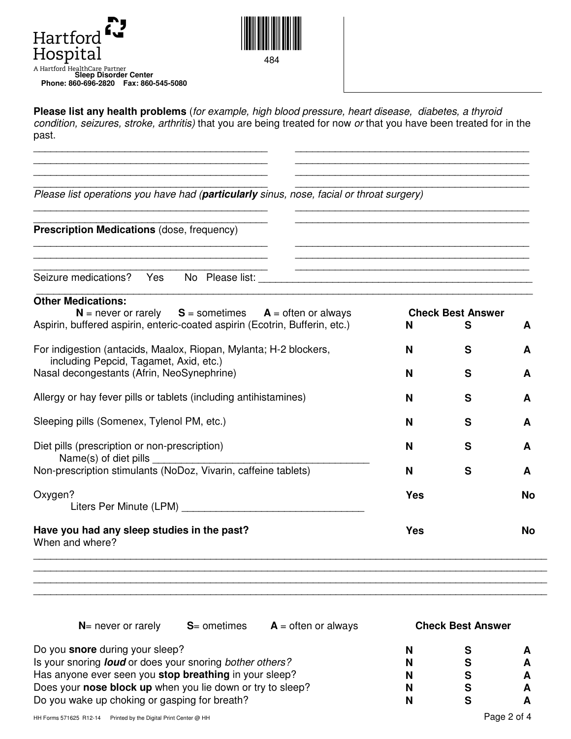



**Please list any health problems** (for example, high blood pressure, heart disease, diabetes, a thyroid condition, seizures, stroke, arthritis) that you are being treated for now or that you have been treated for in the past.

\_\_\_\_\_\_\_\_\_\_\_\_\_\_\_\_\_\_\_\_\_\_\_\_\_\_\_\_\_\_\_\_\_\_\_\_\_\_\_\_\_ \_\_\_\_\_\_\_\_\_\_\_\_\_\_\_\_\_\_\_\_\_\_\_\_\_\_\_\_\_\_\_\_\_\_\_\_\_\_\_\_\_ \_\_\_\_\_\_\_\_\_\_\_\_\_\_\_\_\_\_\_\_\_\_\_\_\_\_\_\_\_\_\_\_\_\_\_\_\_\_\_\_\_ \_\_\_\_\_\_\_\_\_\_\_\_\_\_\_\_\_\_\_\_\_\_\_\_\_\_\_\_\_\_\_\_\_\_\_\_\_\_\_\_\_

| Please list operations you have had (particularly sinus, nose, facial or throat surgery)                    |            |                          |    |
|-------------------------------------------------------------------------------------------------------------|------------|--------------------------|----|
| Prescription Medications (dose, frequency)                                                                  |            |                          |    |
|                                                                                                             |            |                          |    |
| <b>Other Medications:</b><br>$N =$ never or rarely $S =$ sometimes $A =$ often or always                    |            | <b>Check Best Answer</b> |    |
| Aspirin, buffered aspirin, enteric-coated aspirin (Ecotrin, Bufferin, etc.)                                 | N          | S                        | A  |
| For indigestion (antacids, Maalox, Riopan, Mylanta; H-2 blockers,<br>including Pepcid, Tagamet, Axid, etc.) | N          | S                        | A  |
| Nasal decongestants (Afrin, NeoSynephrine)                                                                  | N          | S                        | A  |
| Allergy or hay fever pills or tablets (including antihistamines)                                            | N          | S                        | A  |
| Sleeping pills (Somenex, Tylenol PM, etc.)                                                                  | N          | S                        | A  |
| Diet pills (prescription or non-prescription)<br>Name(s) of diet pills                                      | N          | S                        | A  |
| Non-prescription stimulants (NoDoz, Vivarin, caffeine tablets)                                              | N          | S                        | A  |
| Oxygen?                                                                                                     | <b>Yes</b> |                          | No |
| Have you had any sleep studies in the past?<br>When and where?                                              | Yes        |                          | No |

**N**= never or rarely **S**= ometimes **A** = often or always **Check Best Answer** 

| Do you <b>snore</b> during your sleep?                                 | N |   |
|------------------------------------------------------------------------|---|---|
| Is your snoring <i>loud</i> or does your snoring <i>bother others?</i> | N | A |
| Has anyone ever seen you <b>stop breathing</b> in your sleep?          | N | A |
| Does your nose block up when you lie down or try to sleep?             | N | A |
| Do you wake up choking or gasping for breath?                          | N |   |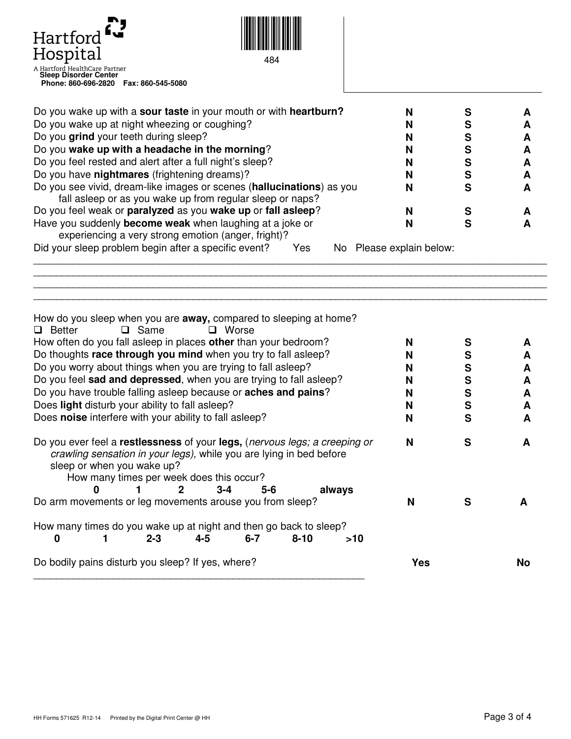

**Phone: 860-696-2820 Fax: 860-545-5080**



484

| Do you wake up with a sour taste in your mouth or with heartburn?     |  |  |
|-----------------------------------------------------------------------|--|--|
| Do you wake up at night wheezing or coughing?                         |  |  |
| Do you grind your teeth during sleep?                                 |  |  |
| Do you wake up with a headache in the morning?                        |  |  |
| Do you feel rested and alert after a full night's sleep?              |  |  |
| Do you have nightmares (frightening dreams)?                          |  |  |
| Do you see vivid, dream-like images or scenes (hallucinations) as you |  |  |
| fall asleep or as you wake up from regular sleep or naps?             |  |  |
| Do you feel weak or paralyzed as you wake up or fall asleep?          |  |  |
| Have you suddenly become weak when laughing at a joke or              |  |  |
| experiencing a very strong emotion (anger, fright)?                   |  |  |

\_\_\_\_\_\_\_\_\_\_\_\_\_\_\_\_\_\_\_\_\_\_\_\_\_\_\_\_\_\_\_\_\_\_\_\_\_\_\_\_\_\_\_\_\_\_\_\_\_\_\_\_\_\_\_\_\_\_\_\_\_\_\_\_\_\_\_\_\_\_\_\_\_\_\_\_\_\_\_\_\_\_\_\_\_\_\_\_\_\_ \_\_\_\_\_\_\_\_\_\_\_\_\_\_\_\_\_\_\_\_\_\_\_\_\_\_\_\_\_\_\_\_\_\_\_\_\_\_\_\_\_\_\_\_\_\_\_\_\_\_\_\_\_\_\_\_\_\_\_\_\_\_\_\_\_\_\_\_\_\_\_\_\_\_\_\_\_\_\_\_\_\_\_\_\_\_\_\_\_\_ \_\_\_\_\_\_\_\_\_\_\_\_\_\_\_\_\_\_\_\_\_\_\_\_\_\_\_\_\_\_\_\_\_\_\_\_\_\_\_\_\_\_\_\_\_\_\_\_\_\_\_\_\_\_\_\_\_\_\_\_\_\_\_\_\_\_\_\_\_\_\_\_\_\_\_\_\_\_\_\_\_\_\_\_\_\_\_\_\_\_ \_\_\_\_\_\_\_\_\_\_\_\_\_\_\_\_\_\_\_\_\_\_\_\_\_\_\_\_\_\_\_\_\_\_\_\_\_\_\_\_\_\_\_\_\_\_\_\_\_\_\_\_\_\_\_\_\_\_\_\_\_\_\_\_\_\_\_\_\_\_\_\_\_\_\_\_\_\_\_\_\_\_\_\_\_\_\_\_\_\_

Did your sleep problem begin after a specific event? Yes NoPlease explain below:

| How do you sleep when you are away, compared to sleeping at home?<br>$\Box$ Worse<br>$\square$ Same<br>$\Box$ Better                                                                                                        |     |              |     |
|-----------------------------------------------------------------------------------------------------------------------------------------------------------------------------------------------------------------------------|-----|--------------|-----|
| How often do you fall asleep in places other than your bedroom?                                                                                                                                                             | N   | S            |     |
| Do thoughts race through you mind when you try to fall asleep?                                                                                                                                                              |     | S            |     |
| Do you worry about things when you are trying to fall asleep?                                                                                                                                                               | N   | S            | A   |
| Do you feel sad and depressed, when you are trying to fall asleep?                                                                                                                                                          | N   | S            | A   |
| Do you have trouble falling asleep because or <b>aches and pains</b> ?                                                                                                                                                      | N   | S            | A   |
| Does light disturb your ability to fall asleep?                                                                                                                                                                             | N   | $\mathbf{s}$ | A   |
| Does noise interfere with your ability to fall asleep?                                                                                                                                                                      | N   | S            | A   |
| Do you ever feel a restlessness of your legs, (nervous legs; a creeping or<br>crawling sensation in your legs), while you are lying in bed before<br>sleep or when you wake up?<br>How many times per week does this occur? | N   | S            | A   |
| 0<br>$3 - 4$<br>2<br>$5 - 6$<br>always<br>Do arm movements or leg movements arouse you from sleep?                                                                                                                          | N   | S            |     |
| How many times do you wake up at night and then go back to sleep?<br>$6 - 7$<br>$8 - 10$<br>$2 - 3$<br>4-5<br>>10<br>0                                                                                                      |     |              |     |
| Do bodily pains disturb you sleep? If yes, where?                                                                                                                                                                           | Yes |              | No. |